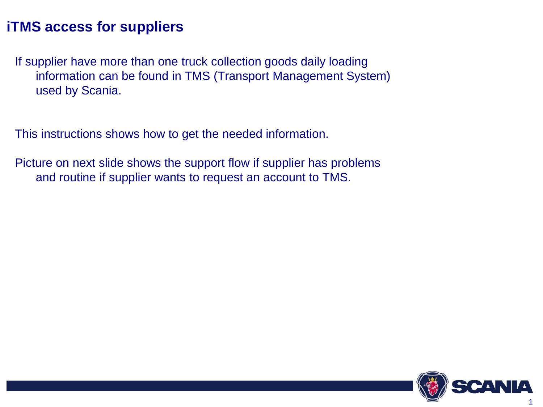### **iTMS access for suppliers**

If supplier have more than one truck collection goods daily loading information can be found in TMS (Transport Management System) used by Scania.

This instructions shows how to get the needed information.

Picture on next slide shows the support flow if supplier has problems and routine if supplier wants to request an account to TMS.

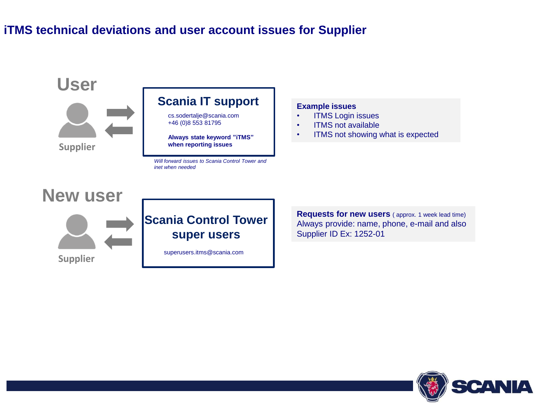### **iTMS technical deviations and user account issues for Supplier**



**Example issues**

- ITMS Login issues
- ITMS not available
- ITMS not showing what is expected

**Requests for new users** ( approx. 1 week lead time) Always provide: name, phone, e-mail and also Supplier ID Ex: 1252-01

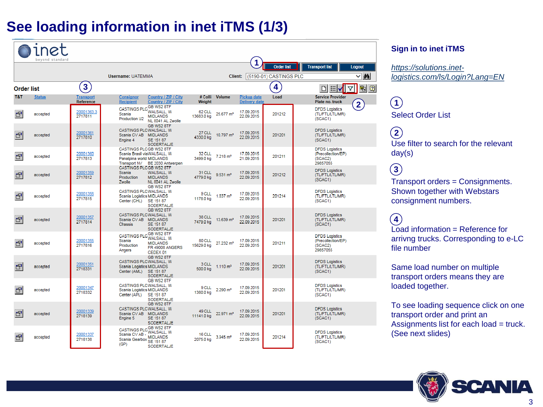## **See loading information in inet iTMS (1/3)**

|                   | hevond standard |                               |                                                      |                                                                                         |                            |                       | 1                                          | <b>Order list</b>      | <b>Transport list</b>                                              |                   |
|-------------------|-----------------|-------------------------------|------------------------------------------------------|-----------------------------------------------------------------------------------------|----------------------------|-----------------------|--------------------------------------------|------------------------|--------------------------------------------------------------------|-------------------|
|                   |                 |                               | <b>Username: UATEMMA</b>                             |                                                                                         |                            | Client:               |                                            | (5190-01) CASTINGS PLC |                                                                    | Logout<br>d4<br>◡ |
| <b>Order list</b> |                 | 3                             |                                                      |                                                                                         |                            |                       |                                            | 4                      | 泪<br>ıd                                                            | 国口<br>Δ           |
| T&T               | <b>Status</b>   | <b>Transport</b><br>Reference | <b>Consignor</b><br><b>Recipient</b>                 | Country / ZIP / City<br>Country / ZIP / City                                            | # Colli<br>Weight          | <b>Volume</b>         | <b>Pickup date</b><br><b>Delivery date</b> | Load                   | <b>Service Provider</b><br>Plate no. truck                         | $\overline{2}$    |
| 图                 | accepted        | 20001363.3<br>2717811         | Scania<br>Production U2                              | CASTINGS PLC GB WS2 8TF<br><b>WALSALL, W</b><br><b>MIDLANDS</b><br>NL 8041 AL Zwolle    | 62 CLL<br>13683.0 kg       | 25.677 m <sup>3</sup> | 17.09.2015<br>22.09.2015                   | 201212                 | <b>DFDS Logistics</b><br>(TL/FTL/LTL/MR)<br>(SCAC1)                |                   |
| ß                 | accepted        | 20001361<br>2717810           | Scania CV AB MIDLANDS<br>Engine 4                    | GB WS2 8TF<br>CASTINGS PLCWALSALL, W<br>SE 151 87<br>SODERTALJE                         | <b>27 CLL</b><br>4330.0 kg | 10.797 m <sup>3</sup> | 17.09.2015<br>22.09.2015                   | 201201                 | <b>DFDS Logistics</b><br>(TL/FTL/LTL/MR)<br>(SCAC1)                |                   |
| 图                 | accepted        | 20001360<br>2717813           | Panalpina world MIDLANDS                             | CASTINGS PLCGB WS2 8TF<br>Scania Brasil viaWALSALL, W<br>Transport NV BE 2030 Antwerpen | 32 CLL<br>3499.0 kg        | 7.218 m <sup>3</sup>  | 17.09.2015<br>21.09.2015                   | 201211                 | <b>DFDS Logistics</b><br>(Precollection/EP)<br>(SCAC2)<br>29857055 |                   |
| f                 | accepted        | 20001359<br>2717812           | <b>Scania</b><br>Production<br>Zwolle                | CASTINGS PLCGB WS2 8TF<br>WALSALL, W<br><b>MIDLANDS</b><br>NL 8041 AL Zwolle            | 31 CLL<br>4779.0 kg        | 9.531 m <sup>3</sup>  | 17.09.2015<br>22.09.2015                   | 201212                 | <b>DFDS Logistics</b><br>(TL/FTL/LTL/MR)<br>(SCAC1)                |                   |
| 图                 | accepted        | 20001358<br>2717815           | Scania Logistics MIDLANDS<br>Center (CHL) SE 151 87  | GB WS2 8TF<br>CASTINGS PLCWALSALL. W<br><b>SODERTALJE</b>                               | 9 CLL<br>1178.0 kg         | 1.837 m <sup>3</sup>  | 17.09.2015<br>22.09.2015                   | 201214                 | <b>DFDS Logistics</b><br>(TL/FTL/LTL/MR)<br>(SCAC1)                |                   |
| ß                 | accepted        | 20001357<br>2717814           | Scania CV AB MIDLANDS<br>Chassis                     | GB WS2 8TF<br>CASTINGS PLCWALSALL, W<br>SE 151 87<br>SODERTALJE                         | 38 CLL<br>7479.0 kg        | 13.639 m <sup>3</sup> | 17.09.2015<br>22.09.2015                   | 201201                 | <b>DFDS Logistics</b><br>(TL/FTL/LTL/MR)<br>(SCAC1)                |                   |
| 图                 | accepted        | 20001355<br>2717816           | Scania<br>Production<br>Angers                       | CASTINGS PLC GB WS2 8TF<br><b>MIDLANDS</b><br>FR 49008 ANGERS<br>CEDEX 01               | 80 CLL<br>15629.0 kg       | 27.232 m <sup>3</sup> | 17.09.2015<br>22.09.2015                   | 201211                 | <b>DFDS Logistics</b><br>(Precollection/EP)<br>(SCAC2)<br>29857055 |                   |
| f <sup>3</sup>    | accepted        | 20001351<br>2718331           | Scania Logistics MIDLANDS<br>Center (AML) SE 151 87  | GB WS2 8TF<br>CASTINGS PLCWALSALL, W<br>SODERTALJE                                      | 3 CLL<br>500.0 kg          | 1.110 m <sup>3</sup>  | 17.09.2015<br>22.09.2015                   | 201201                 | <b>DFDS Logistics</b><br>(TL/FTL/LTL/MR)<br>(SCAC1)                |                   |
| 图                 | accepted        | 20001347<br>2718332           | Scania Logistics MIDLANDS<br>Center (APL)            | GB WS2 8TF<br>CASTINGS PLCWALSALL, W<br>SE 151 87<br><b>SODERTALJE</b>                  | 9 CLL<br>1380.0 kg         | 2.290 m <sup>3</sup>  | 17.09.2015<br>22.09.2015                   | 201201                 | <b>DFDS Logistics</b><br>(TL/FTL/LTL/MR)<br>(SCAC1)                |                   |
| ß                 | accepted        | 20001339<br>2718139           | Scania CV AB MIDLANDS<br>Engine 5                    | GB WS2 8TF<br>CASTINGS PLCWALSALL, W<br>SE 151 87<br>SODERTALJE                         | 49 CLL<br>11141.0 kg       | 22.971 m <sup>3</sup> | 17.09.2015<br>22.09.2015                   | 201201                 | <b>DFDS Logistics</b><br>(TL/FTL/LTL/MR)<br>(SCAC1)                |                   |
| ß                 | accepted        | 20001337<br>2718138           | Scania CV AB -<br>Scania Gearbox Million 117<br>(GP) | CASTINGS PLC GB WS2 8TF<br>WALSALL, W<br><b>MIDLANDS</b><br>SODERTALJE                  | 16 CLL<br>2075.0 kg        | 3.945 m <sup>3</sup>  | 17.09.2015<br>22.09.2015                   | 201214                 | <b>DFDS Logistics</b><br>(TL/FTL/LTL/MR)<br>(SCAC1)                |                   |

#### **Sign in to inet iTMS**

*https://solutions.inet[logistics.com/ls/Login?Lang=EN](https://solutions.inet-logistics.com/ls/Login?Lang=EN)*

#### Select Order List  $(1)$

Use filter to search for the relevant day(s) **2**

Transport orders = Consignments. Shown together with Webstars consignment numbers. **3**

Load information = Reference for arrivng trucks. Corresponding to e-LC file number **4**

Same load number on multiple transport orders means they are loaded together.

To see loading sequence click on one transport order and print an Assignments list for each load = truck. (See next slides)

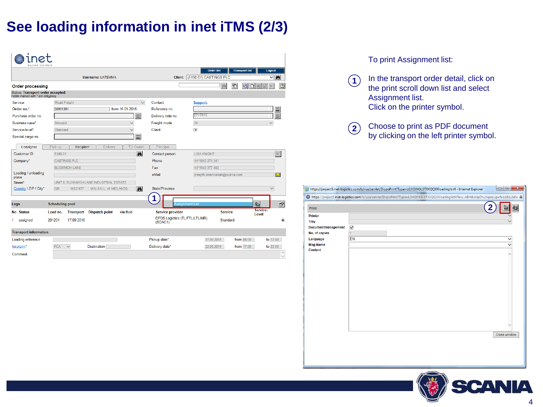### **See loading information in inet iTMS (2/3)**

| inet<br>hevond standard                                                        |                                                                  |                                                  |                                                      |
|--------------------------------------------------------------------------------|------------------------------------------------------------------|--------------------------------------------------|------------------------------------------------------|
|                                                                                |                                                                  |                                                  | <b>Transport list</b><br><b>Order list</b><br>Logout |
|                                                                                | <b>Username: UATEMMA</b>                                         | Client:                                          | d4<br>(5190-01) CASTINGS PLC<br>$\checkmark$         |
| <b>Order processing</b>                                                        |                                                                  |                                                  | ħ<br>$\sqrt{2}$<br>酯<br>ĝå<br>nne                    |
| <b>Status: Transport order accepted</b><br>Fields marked with * are obligatory |                                                                  |                                                  |                                                      |
| Service:                                                                       | Road Freight<br>$\checkmark$                                     | Contact:                                         | Support,                                             |
| Order no.*                                                                     | from 16.09.2015<br>20001361                                      | Reference no                                     |                                                      |
| Purchase order no.                                                             | Ε<br>û                                                           | Delivery note no.                                | $\equiv$<br>2717810                                  |
| Business case*                                                                 | $\checkmark$<br>Inbound                                          | Freight mode                                     | <b>IN</b><br>$\checkmark$                            |
| Service-level*                                                                 | Standard<br>$\checkmark$                                         | Client                                           | <b>DE</b>                                            |
| Special cargo no.                                                              | ⋿<br>$\hat{a}$                                                   |                                                  |                                                      |
| Consignor                                                                      | Pick-up<br>TO Owner<br>Recipient<br>Delivery                     | Principal                                        |                                                      |
| Customer ID                                                                    | M<br>5190-01                                                     | Contact person                                   | $\times$<br><b>I ISA KNIGHT</b>                      |
| Company*                                                                       | <b>CASTINGS PLC</b>                                              | Phone                                            | 44*1543 374 341                                      |
|                                                                                | <b>BLOXWICH LANE</b>                                             | Fax                                              | 44*1543 377 483                                      |
| Loading / unloading<br>place                                                   |                                                                  | eMail                                            | $\blacksquare$<br>sreejith.sreenivasan@scania.com    |
| Street*                                                                        | UNIT 6, BLOXWICH LANE INDUSTRIAL ESTATE                          |                                                  |                                                      |
| Country / ZIP / City*                                                          | WALSALL, W MIDLANDS<br>鹧<br><b>GB</b><br>WS2 8TF                 | State/Province                                   | $\checkmark$                                         |
| Legs                                                                           | <b>Scheduling pool</b>                                           | <b>Assignment List</b>                           | 图<br>國                                               |
| No Status                                                                      | via Hub<br>Load no.<br><b>Dispatch point</b><br><b>Transport</b> | Service provider                                 | Service-<br><b>Service</b><br>Level                  |
| assigned<br>1.                                                                 | 201201<br>17.09.2015                                             | <b>DFDS Logistics (TL/FTL/LTL/MR)</b><br>(SCAC1) | Standard<br>$\circledbullet$                         |
| <b>Transport information</b>                                                   |                                                                  |                                                  |                                                      |
| Loading reference                                                              |                                                                  | Pickup date*                                     | from 08:00<br>to 17:00<br>17.09.2015                 |
| Incoterm*                                                                      | <b>FCA</b><br><b>Destination</b><br>$\checkmark$                 | Delivery date*                                   | 22.09.2015<br>from 17:00<br>to 23:59                 |
| Comment                                                                        |                                                                  |                                                  | $\checkmark$                                         |

#### To print Assignment list:

- In the transport order detail, click on the print scroll down list and select Assignment list. Click on the printer symbol.  $(1)$
- Choose to print as PDF document **2** by clicking on the left printer symbol.

|                    | https://project3.inet-logistics.com/ls/vsa/servlet/DispoPrint?Type=LOADINGLSTXXQQXXloadinglist4 - Internet Explorer                   | $\Box$<br>$\overline{\mathbf{x}}$<br>$\blacksquare$ |
|--------------------|---------------------------------------------------------------------------------------------------------------------------------------|-----------------------------------------------------|
|                    | ● https://project3.inet-logistics.com/ls/vsa/servlet/DispoPrint?Type=LOADINGLSTXXQQXXloadinglist4Flow_ABH&skipDruckpopup=false&LLIdSe |                                                     |
| <b>Print</b>       |                                                                                                                                       | ł<br>召                                              |
| <b>Printer</b>     |                                                                                                                                       |                                                     |
| Tray               |                                                                                                                                       |                                                     |
| Documentmanagement | $\blacktriangledown$                                                                                                                  |                                                     |
| No. of copies      | $\overline{1}$                                                                                                                        |                                                     |
| Language           | EN                                                                                                                                    |                                                     |
| <b>Msg-Name</b>    |                                                                                                                                       |                                                     |
| <b>Content</b>     |                                                                                                                                       |                                                     |
|                    |                                                                                                                                       |                                                     |
|                    |                                                                                                                                       |                                                     |
|                    |                                                                                                                                       |                                                     |
|                    |                                                                                                                                       |                                                     |
|                    |                                                                                                                                       |                                                     |
|                    |                                                                                                                                       |                                                     |
|                    |                                                                                                                                       |                                                     |
|                    |                                                                                                                                       |                                                     |
|                    |                                                                                                                                       |                                                     |
|                    |                                                                                                                                       |                                                     |
|                    |                                                                                                                                       |                                                     |
|                    |                                                                                                                                       |                                                     |
|                    |                                                                                                                                       |                                                     |
|                    |                                                                                                                                       | Close window                                        |
|                    |                                                                                                                                       |                                                     |
|                    |                                                                                                                                       |                                                     |